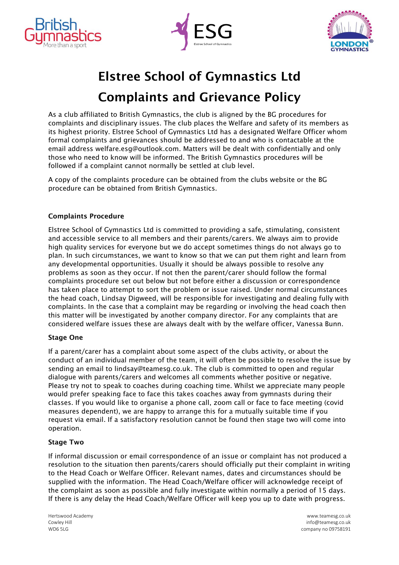





# Elstree School of Gymnastics Ltd Complaints and Grievance Policy

As a club affiliated to British Gymnastics, the club is aligned by the BG procedures for complaints and disciplinary issues. The club places the Welfare and safety of its members as its highest priority. Elstree School of Gymnastics Ltd has a designated Welfare Officer whom formal complaints and grievances should be addressed to and who is contactable at the email address welfare.esg@outlook.com. Matters will be dealt with confidentially and only those who need to know will be informed. The British Gymnastics procedures will be followed if a complaint cannot normally be settled at club level.

A copy of the complaints procedure can be obtained from the clubs website or the BG procedure can be obtained from British Gymnastics.

## Complaints Procedure

Elstree School of Gymnastics Ltd is committed to providing a safe, stimulating, consistent and accessible service to all members and their parents/carers. We always aim to provide high quality services for everyone but we do accept sometimes things do not always go to plan. In such circumstances, we want to know so that we can put them right and learn from any developmental opportunities. Usually it should be always possible to resolve any problems as soon as they occur. If not then the parent/carer should follow the formal complaints procedure set out below but not before either a discussion or correspondence has taken place to attempt to sort the problem or issue raised. Under normal circumstances the head coach, Lindsay Digweed, will be responsible for investigating and dealing fully with complaints. In the case that a complaint may be regarding or involving the head coach then this matter will be investigated by another company director. For any complaints that are considered welfare issues these are always dealt with by the welfare officer, Vanessa Bunn.

### Stage One

If a parent/carer has a complaint about some aspect of the clubs activity, or about the conduct of an individual member of the team, it will often be possible to resolve the issue by sending an email to lindsay@teamesg.co.uk. The club is committed to open and regular dialogue with parents/carers and welcomes all comments whether positive or negative. Please try not to speak to coaches during coaching time. Whilst we appreciate many people would prefer speaking face to face this takes coaches away from gymnasts during their classes. If you would like to organise a phone call, zoom call or face to face meeting (covid measures dependent), we are happy to arrange this for a mutually suitable time if you request via email. If a satisfactory resolution cannot be found then stage two will come into operation.

### Stage Two

If informal discussion or email correspondence of an issue or complaint has not produced a resolution to the situation then parents/carers should officially put their complaint in writing to the Head Coach or Welfare Officer. Relevant names, dates and circumstances should be supplied with the information. The Head Coach/Welfare officer will acknowledge receipt of the complaint as soon as possible and fully investigate within normally a period of 15 days. If there is any delay the Head Coach/Welfare Officer will keep you up to date with progress.

Hertswood Academy [www.teamesg.co.uk](http://www.teamesg.co.uk/) Cowley Hill info@teamesg.co.uk WD6 5LG company no 09758191